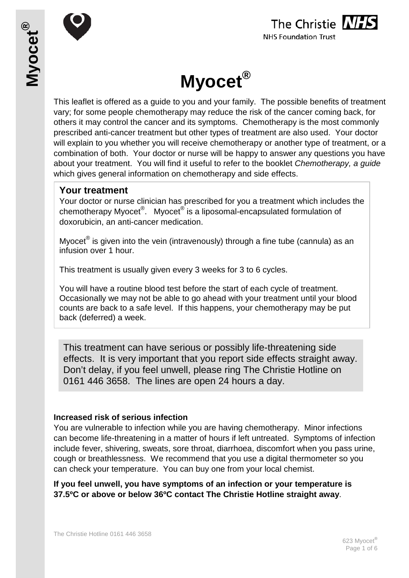





This leaflet is offered as a guide to you and your family. The possible benefits of treatment vary; for some people chemotherapy may reduce the risk of the cancer coming back, for others it may control the cancer and its symptoms. Chemotherapy is the most commonly prescribed anti-cancer treatment but other types of treatment are also used. Your doctor will explain to you whether you will receive chemotherapy or another type of treatment, or a combination of both. Your doctor or nurse will be happy to answer any questions you have about your treatment. You will find it useful to refer to the booklet *Chemotherapy, a guide* which gives general information on chemotherapy and side effects.

#### **Your treatment**

Your doctor or nurse clinician has prescribed for you a treatment which includes the chemotherapy Myocet®. Myocet<sup>®</sup> is a liposomal-encapsulated formulation of doxorubicin, an anti-cancer medication.

Myocet<sup>®</sup> is given into the vein (intravenously) through a fine tube (cannula) as an infusion over 1 hour.

This treatment is usually given every 3 weeks for 3 to 6 cycles.

You will have a routine blood test before the start of each cycle of treatment. Occasionally we may not be able to go ahead with your treatment until your blood counts are back to a safe level. If this happens, your chemotherapy may be put back (deferred) a week.

This treatment can have serious or possibly life-threatening side effects. It is very important that you report side effects straight away. Don't delay, if you feel unwell, please ring The Christie Hotline on 0161 446 3658. The lines are open 24 hours a day.

#### **Increased risk of serious infection**

You are vulnerable to infection while you are having chemotherapy. Minor infections can become life-threatening in a matter of hours if left untreated. Symptoms of infection include fever, shivering, sweats, sore throat, diarrhoea, discomfort when you pass urine, cough or breathlessness. We recommend that you use a digital thermometer so you can check your temperature. You can buy one from your local chemist.

**If you feel unwell, you have symptoms of an infection or your temperature is 37.5ºC or above or below 36ºC contact The Christie Hotline straight away**.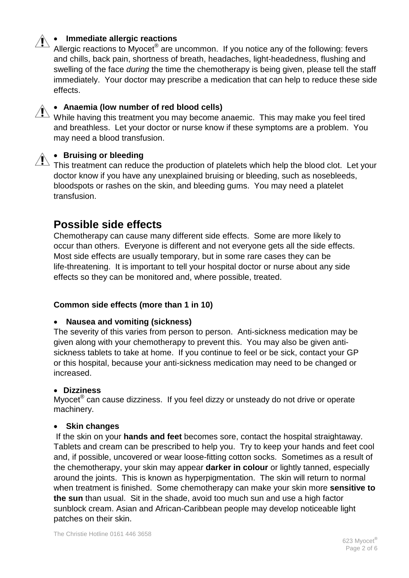### • **Immediate allergic reactions**

Allergic reactions to Myocet<sup>®</sup> are uncommon. If you notice any of the following: fevers and chills, back pain, shortness of breath, headaches, light-headedness, flushing and swelling of the face *during* the time the chemotherapy is being given, please tell the staff immediately. Your doctor may prescribe a medication that can help to reduce these side effects.

#### • **Anaemia (low number of red blood cells)**

While having this treatment you may become anaemic. This may make you feel tired and breathless. Let your doctor or nurse know if these symptoms are a problem. You may need a blood transfusion.

### • **Bruising or bleeding**

This treatment can reduce the production of platelets which help the blood clot. Let your doctor know if you have any unexplained bruising or bleeding, such as nosebleeds, bloodspots or rashes on the skin, and bleeding gums. You may need a platelet transfusion.

# **Possible side effects**

Chemotherapy can cause many different side effects. Some are more likely to occur than others. Everyone is different and not everyone gets all the side effects. Most side effects are usually temporary, but in some rare cases they can be life-threatening. It is important to tell your hospital doctor or nurse about any side effects so they can be monitored and, where possible, treated.

#### **Common side effects (more than 1 in 10)**

#### • **Nausea and vomiting (sickness)**

The severity of this varies from person to person. Anti-sickness medication may be given along with your chemotherapy to prevent this. You may also be given antisickness tablets to take at home. If you continue to feel or be sick, contact your GP or this hospital, because your anti-sickness medication may need to be changed or increased.

#### • **Dizziness**

Myocet<sup>®</sup> can cause dizziness. If you feel dizzy or unsteady do not drive or operate machinery.

#### • **Skin changes**

If the skin on your **hands and feet** becomes sore, contact the hospital straightaway. Tablets and cream can be prescribed to help you. Try to keep your hands and feet cool and, if possible, uncovered or wear loose-fitting cotton socks. Sometimes as a result of the chemotherapy, your skin may appear **darker in colour** or lightly tanned, especially around the joints. This is known as hyperpigmentation. The skin will return to normal when treatment is finished. Some chemotherapy can make your skin more **sensitive to the sun** than usual. Sit in the shade, avoid too much sun and use a high factor sunblock cream. Asian and African-Caribbean people may develop noticeable light patches on their skin.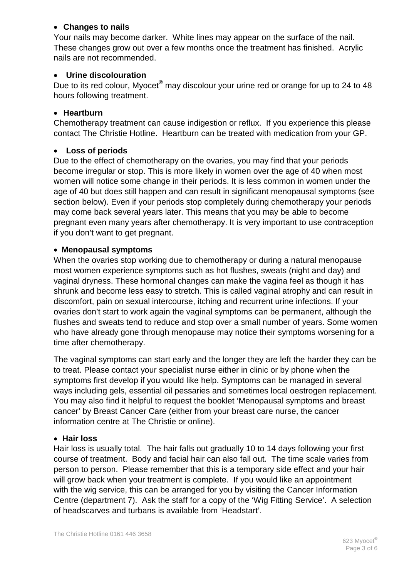#### • **Changes to nails**

Your nails may become darker. White lines may appear on the surface of the nail. These changes grow out over a few months once the treatment has finished. Acrylic nails are not recommended.

#### • **Urine discolouration**

Due to its red colour, Myocet**®** may discolour your urine red or orange for up to 24 to 48 hours following treatment.

#### • **Heartburn**

Chemotherapy treatment can cause indigestion or reflux. If you experience this please contact The Christie Hotline. Heartburn can be treated with medication from your GP.

#### • **Loss of periods**

Due to the effect of chemotherapy on the ovaries, you may find that your periods become irregular or stop. This is more likely in women over the age of 40 when most women will notice some change in their periods. It is less common in women under the age of 40 but does still happen and can result in significant menopausal symptoms (see section below). Even if your periods stop completely during chemotherapy your periods may come back several years later. This means that you may be able to become pregnant even many years after chemotherapy. It is very important to use contraception if you don't want to get pregnant.

#### • **Menopausal symptoms**

When the ovaries stop working due to chemotherapy or during a natural menopause most women experience symptoms such as hot flushes, sweats (night and day) and vaginal dryness. These hormonal changes can make the vagina feel as though it has shrunk and become less easy to stretch. This is called vaginal atrophy and can result in discomfort, pain on sexual intercourse, itching and recurrent urine infections. If your ovaries don't start to work again the vaginal symptoms can be permanent, although the flushes and sweats tend to reduce and stop over a small number of years. Some women who have already gone through menopause may notice their symptoms worsening for a time after chemotherapy.

The vaginal symptoms can start early and the longer they are left the harder they can be to treat. Please contact your specialist nurse either in clinic or by phone when the symptoms first develop if you would like help. Symptoms can be managed in several ways including gels, essential oil pessaries and sometimes local oestrogen replacement. You may also find it helpful to request the booklet 'Menopausal symptoms and breast cancer' by Breast Cancer Care (either from your breast care nurse, the cancer information centre at The Christie or online).

#### • **Hair loss**

Hair loss is usually total. The hair falls out gradually 10 to 14 days following your first course of treatment. Body and facial hair can also fall out. The time scale varies from person to person. Please remember that this is a temporary side effect and your hair will grow back when your treatment is complete. If you would like an appointment with the wig service, this can be arranged for you by visiting the Cancer Information Centre (department 7). Ask the staff for a copy of the 'Wig Fitting Service'. A selection of headscarves and turbans is available from 'Headstart'.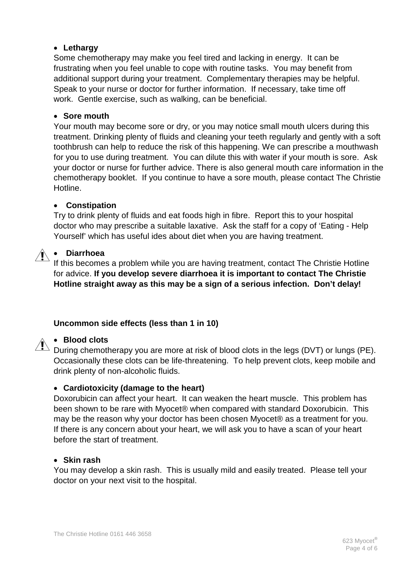#### • **Lethargy**

Some chemotherapy may make you feel tired and lacking in energy. It can be frustrating when you feel unable to cope with routine tasks. You may benefit from additional support during your treatment. Complementary therapies may be helpful. Speak to your nurse or doctor for further information. If necessary, take time off work. Gentle exercise, such as walking, can be beneficial.

#### • **Sore mouth**

Your mouth may become sore or dry, or you may notice small mouth ulcers during this treatment. Drinking plenty of fluids and cleaning your teeth regularly and gently with a soft toothbrush can help to reduce the risk of this happening. We can prescribe a mouthwash for you to use during treatment. You can dilute this with water if your mouth is sore. Ask your doctor or nurse for further advice. There is also general mouth care information in the chemotherapy booklet. If you continue to have a sore mouth, please contact The Christie Hotline.

#### • **Constipation**

Try to drink plenty of fluids and eat foods high in fibre. Report this to your hospital doctor who may prescribe a suitable laxative. Ask the staff for a copy of 'Eating - Help Yourself' which has useful ides about diet when you are having treatment.

# • **Diarrhoea**

If this becomes a problem while you are having treatment, contact The Christie Hotline for advice. **If you develop severe diarrhoea it is important to contact The Christie Hotline straight away as this may be a sign of a serious infection. Don't delay!**

#### **Uncommon side effects (less than 1 in 10)**

#### • **Blood clots**

During chemotherapy you are more at risk of blood clots in the legs (DVT) or lungs (PE). Occasionally these clots can be life-threatening. To help prevent clots, keep mobile and drink plenty of non-alcoholic fluids.

#### • **Cardiotoxicity (damage to the heart)**

Doxorubicin can affect your heart. It can weaken the heart muscle. This problem has been shown to be rare with Myocet® when compared with standard Doxorubicin. This may be the reason why your doctor has been chosen Myocet® as a treatment for you. If there is any concern about your heart, we will ask you to have a scan of your heart before the start of treatment.

#### • **Skin rash**

You may develop a skin rash. This is usually mild and easily treated. Please tell your doctor on your next visit to the hospital.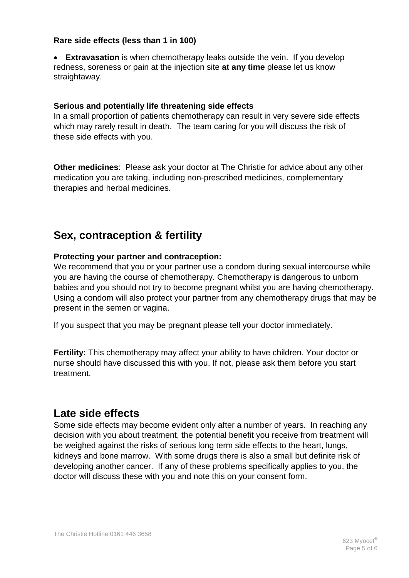#### **Rare side effects (less than 1 in 100)**

• **Extravasation** is when chemotherapy leaks outside the vein. If you develop redness, soreness or pain at the injection site **at any time** please let us know straightaway.

#### **Serious and potentially life threatening side effects**

In a small proportion of patients chemotherapy can result in very severe side effects which may rarely result in death. The team caring for you will discuss the risk of these side effects with you.

**Other medicines**: Please ask your doctor at The Christie for advice about any other medication you are taking, including non-prescribed medicines, complementary therapies and herbal medicines.

# **Sex, contraception & fertility**

#### **Protecting your partner and contraception:**

We recommend that you or your partner use a condom during sexual intercourse while you are having the course of chemotherapy. Chemotherapy is dangerous to unborn babies and you should not try to become pregnant whilst you are having chemotherapy. Using a condom will also protect your partner from any chemotherapy drugs that may be present in the semen or vagina.

If you suspect that you may be pregnant please tell your doctor immediately.

**Fertility:** This chemotherapy may affect your ability to have children. Your doctor or nurse should have discussed this with you. If not, please ask them before you start treatment.

# **Late side effects**

Some side effects may become evident only after a number of years. In reaching any decision with you about treatment, the potential benefit you receive from treatment will be weighed against the risks of serious long term side effects to the heart, lungs, kidneys and bone marrow. With some drugs there is also a small but definite risk of developing another cancer. If any of these problems specifically applies to you, the doctor will discuss these with you and note this on your consent form.